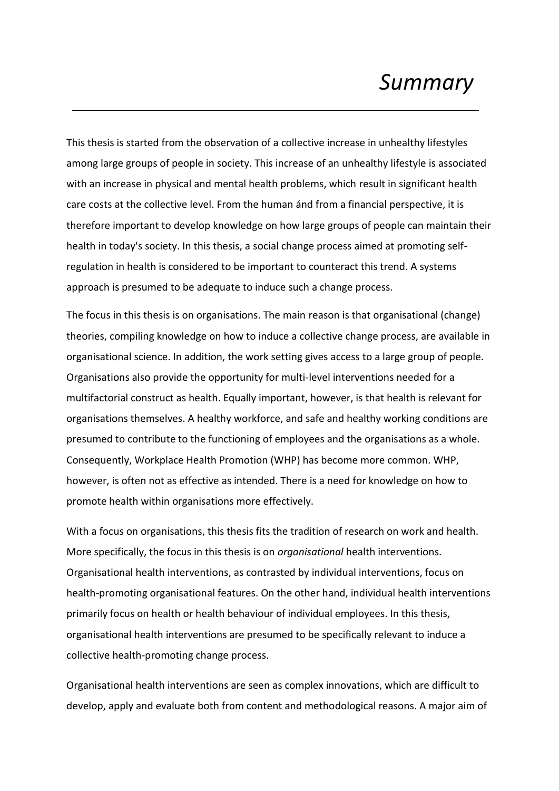# *Summary*

This thesis is started from the observation of a collective increase in unhealthy lifestyles among large groups of people in society. This increase of an unhealthy lifestyle is associated with an increase in physical and mental health problems, which result in significant health care costs at the collective level. From the human ánd from a financial perspective, it is therefore important to develop knowledge on how large groups of people can maintain their health in today's society. In this thesis, a social change process aimed at promoting selfregulation in health is considered to be important to counteract this trend. A systems approach is presumed to be adequate to induce such a change process.

The focus in this thesis is on organisations. The main reason is that organisational (change) theories, compiling knowledge on how to induce a collective change process, are available in organisational science. In addition, the work setting gives access to a large group of people. Organisations also provide the opportunity for multi-level interventions needed for a multifactorial construct as health. Equally important, however, is that health is relevant for organisations themselves. A healthy workforce, and safe and healthy working conditions are presumed to contribute to the functioning of employees and the organisations as a whole. Consequently, Workplace Health Promotion (WHP) has become more common. WHP, however, is often not as effective as intended. There is a need for knowledge on how to promote health within organisations more effectively.

With a focus on organisations, this thesis fits the tradition of research on work and health. More specifically, the focus in this thesis is on *organisational* health interventions. Organisational health interventions, as contrasted by individual interventions, focus on health-promoting organisational features. On the other hand, individual health interventions primarily focus on health or health behaviour of individual employees. In this thesis, organisational health interventions are presumed to be specifically relevant to induce a collective health-promoting change process.

Organisational health interventions are seen as complex innovations, which are difficult to develop, apply and evaluate both from content and methodological reasons. A major aim of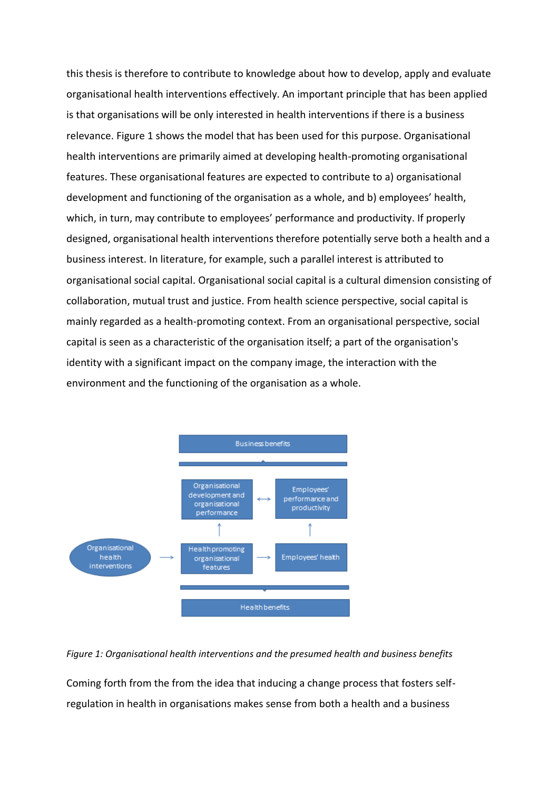this thesis is therefore to contribute to knowledge about how to develop, apply and evaluate organisational health interventions effectively. An important principle that has been applied is that organisations will be only interested in health interventions if there is a business relevance. Figure 1 shows the model that has been used for this purpose. Organisational health interventions are primarily aimed at developing health-promoting organisational features. These organisational features are expected to contribute to a) organisational development and functioning of the organisation as a whole, and b) employees' health, which, in turn, may contribute to employees' performance and productivity. If properly designed, organisational health interventions therefore potentially serve both a health and a business interest. In literature, for example, such a parallel interest is attributed to organisational social capital. Organisational social capital is a cultural dimension consisting of collaboration, mutual trust and justice. From health science perspective, social capital is mainly regarded as a health-promoting context. From an organisational perspective, social capital is seen as a characteristic of the organisation itself; a part of the organisation's identity with a significant impact on the company image, the interaction with the environment and the functioning of the organisation as a whole.



### *Figure 1: Organisational health interventions and the presumed health and business benefits*

Coming forth from the from the idea that inducing a change process that fosters selfregulation in health in organisations makes sense from both a health and a business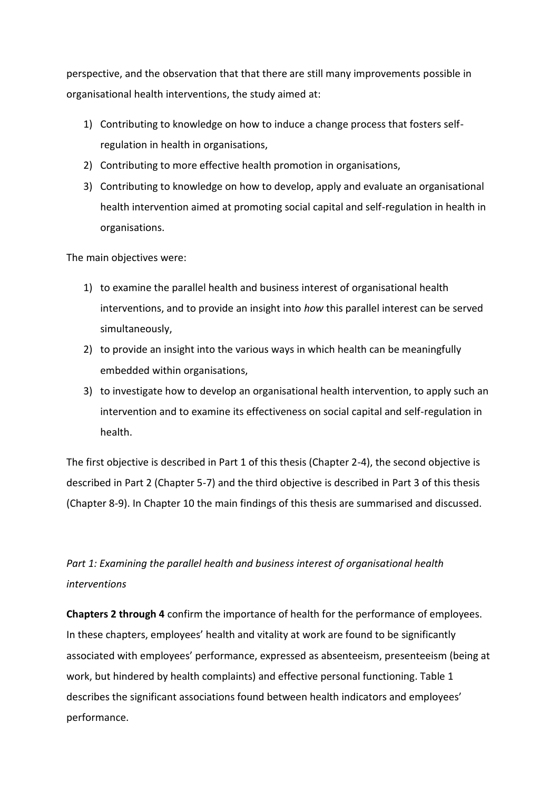perspective, and the observation that that there are still many improvements possible in organisational health interventions, the study aimed at:

- 1) Contributing to knowledge on how to induce a change process that fosters selfregulation in health in organisations,
- 2) Contributing to more effective health promotion in organisations,
- 3) Contributing to knowledge on how to develop, apply and evaluate an organisational health intervention aimed at promoting social capital and self-regulation in health in organisations.

The main objectives were:

- 1) to examine the parallel health and business interest of organisational health interventions, and to provide an insight into *how* this parallel interest can be served simultaneously,
- 2) to provide an insight into the various ways in which health can be meaningfully embedded within organisations,
- 3) to investigate how to develop an organisational health intervention, to apply such an intervention and to examine its effectiveness on social capital and self-regulation in health.

The first objective is described in Part 1 of this thesis (Chapter 2-4), the second objective is described in Part 2 (Chapter 5-7) and the third objective is described in Part 3 of this thesis (Chapter 8-9). In Chapter 10 the main findings of this thesis are summarised and discussed.

## *Part 1: Examining the parallel health and business interest of organisational health interventions*

**Chapters 2 through 4** confirm the importance of health for the performance of employees. In these chapters, employees' health and vitality at work are found to be significantly associated with employees' performance, expressed as absenteeism, presenteeism (being at work, but hindered by health complaints) and effective personal functioning. Table 1 describes the significant associations found between health indicators and employees' performance.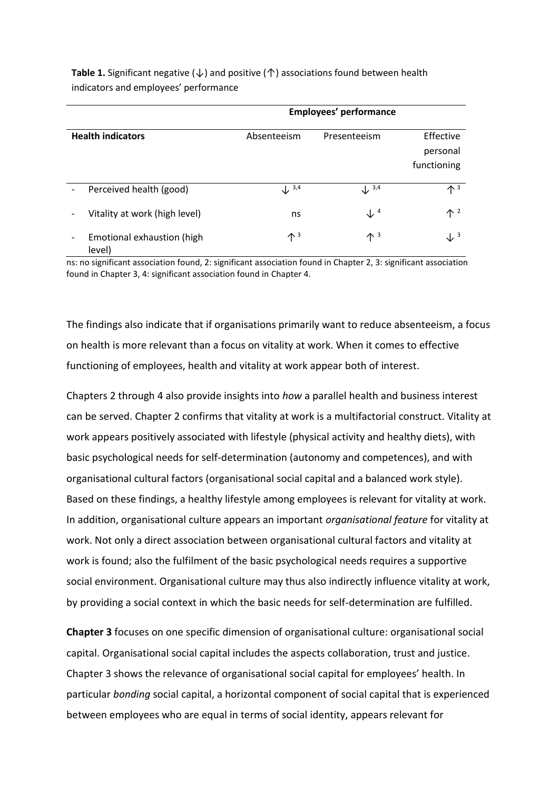|                                      | <b>Employees' performance</b> |                           |                                      |
|--------------------------------------|-------------------------------|---------------------------|--------------------------------------|
| <b>Health indicators</b>             | Absenteeism                   | Presenteeism              | Effective<br>personal<br>functioning |
| Perceived health (good)              | $\downarrow$ 3,4              | $\downarrow$ 3,4          | $\mathbf{\Lambda}^3$                 |
| Vitality at work (high level)        | ns                            | $\downarrow$ <sup>4</sup> | $\uparrow$ 2                         |
| Emotional exhaustion (high<br>level) | $\mathbf{\Lambda}^3$          | $\uparrow$ 3              | $\downarrow$ <sup>3</sup>            |

**Table 1.** Significant negative (↓) and positive (↑) associations found between health indicators and employees' performance

ns: no significant association found, 2: significant association found in Chapter 2, 3: significant association found in Chapter 3, 4: significant association found in Chapter 4.

The findings also indicate that if organisations primarily want to reduce absenteeism, a focus on health is more relevant than a focus on vitality at work. When it comes to effective functioning of employees, health and vitality at work appear both of interest.

Chapters 2 through 4 also provide insights into *how* a parallel health and business interest can be served. Chapter 2 confirms that vitality at work is a multifactorial construct. Vitality at work appears positively associated with lifestyle (physical activity and healthy diets), with basic psychological needs for self-determination (autonomy and competences), and with organisational cultural factors (organisational social capital and a balanced work style). Based on these findings, a healthy lifestyle among employees is relevant for vitality at work. In addition, organisational culture appears an important *organisational feature* for vitality at work. Not only a direct association between organisational cultural factors and vitality at work is found; also the fulfilment of the basic psychological needs requires a supportive social environment. Organisational culture may thus also indirectly influence vitality at work, by providing a social context in which the basic needs for self-determination are fulfilled.

**Chapter 3** focuses on one specific dimension of organisational culture: organisational social capital. Organisational social capital includes the aspects collaboration, trust and justice. Chapter 3 shows the relevance of organisational social capital for employees' health. In particular *bonding* social capital, a horizontal component of social capital that is experienced between employees who are equal in terms of social identity, appears relevant for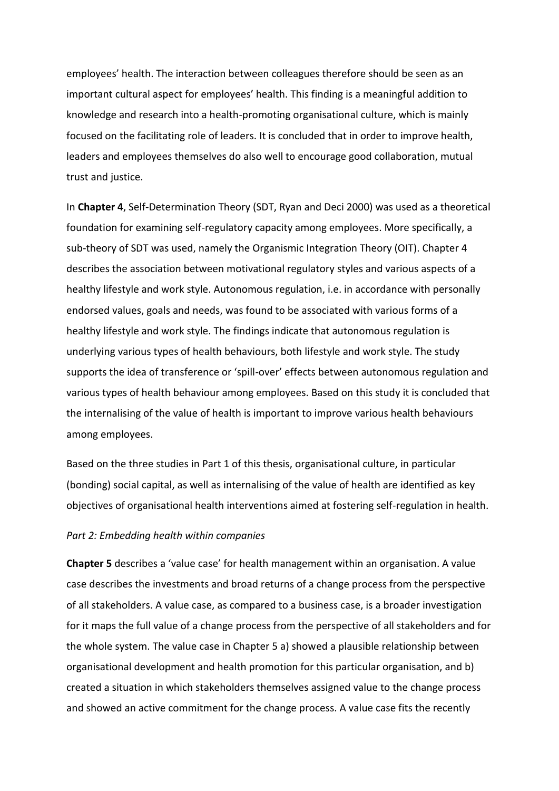employees' health. The interaction between colleagues therefore should be seen as an important cultural aspect for employees' health. This finding is a meaningful addition to knowledge and research into a health-promoting organisational culture, which is mainly focused on the facilitating role of leaders. It is concluded that in order to improve health, leaders and employees themselves do also well to encourage good collaboration, mutual trust and justice.

In **Chapter 4**, Self-Determination Theory (SDT, Ryan and Deci 2000) was used as a theoretical foundation for examining self-regulatory capacity among employees. More specifically, a sub-theory of SDT was used, namely the Organismic Integration Theory (OIT). Chapter 4 describes the association between motivational regulatory styles and various aspects of a healthy lifestyle and work style. Autonomous regulation, i.e. in accordance with personally endorsed values, goals and needs, was found to be associated with various forms of a healthy lifestyle and work style. The findings indicate that autonomous regulation is underlying various types of health behaviours, both lifestyle and work style. The study supports the idea of transference or 'spill-over' effects between autonomous regulation and various types of health behaviour among employees. Based on this study it is concluded that the internalising of the value of health is important to improve various health behaviours among employees.

Based on the three studies in Part 1 of this thesis, organisational culture, in particular (bonding) social capital, as well as internalising of the value of health are identified as key objectives of organisational health interventions aimed at fostering self-regulation in health.

### *Part 2: Embedding health within companies*

**Chapter 5** describes a 'value case' for health management within an organisation. A value case describes the investments and broad returns of a change process from the perspective of all stakeholders. A value case, as compared to a business case, is a broader investigation for it maps the full value of a change process from the perspective of all stakeholders and for the whole system. The value case in Chapter 5 a) showed a plausible relationship between organisational development and health promotion for this particular organisation, and b) created a situation in which stakeholders themselves assigned value to the change process and showed an active commitment for the change process. A value case fits the recently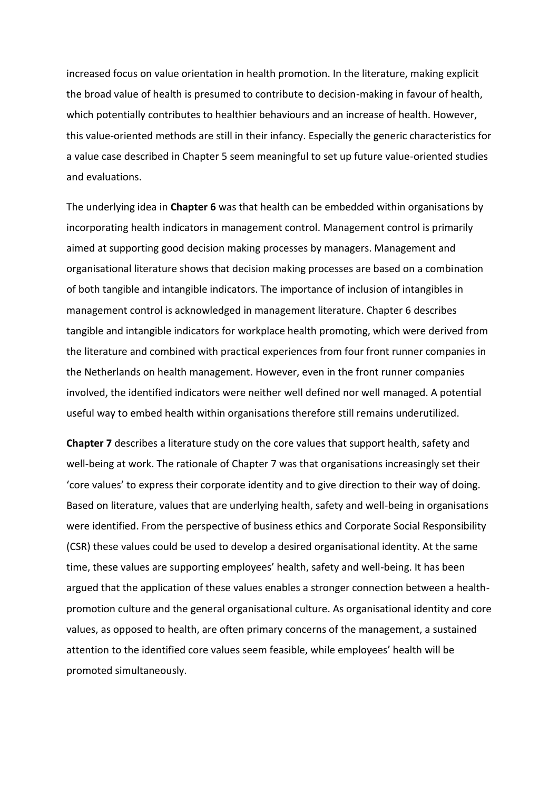increased focus on value orientation in health promotion. In the literature, making explicit the broad value of health is presumed to contribute to decision-making in favour of health, which potentially contributes to healthier behaviours and an increase of health. However, this value-oriented methods are still in their infancy. Especially the generic characteristics for a value case described in Chapter 5 seem meaningful to set up future value-oriented studies and evaluations.

The underlying idea in **Chapter 6** was that health can be embedded within organisations by incorporating health indicators in management control. Management control is primarily aimed at supporting good decision making processes by managers. Management and organisational literature shows that decision making processes are based on a combination of both tangible and intangible indicators. The importance of inclusion of intangibles in management control is acknowledged in management literature. Chapter 6 describes tangible and intangible indicators for workplace health promoting, which were derived from the literature and combined with practical experiences from four front runner companies in the Netherlands on health management. However, even in the front runner companies involved, the identified indicators were neither well defined nor well managed. A potential useful way to embed health within organisations therefore still remains underutilized.

**Chapter 7** describes a literature study on the core values that support health, safety and well-being at work. The rationale of Chapter 7 was that organisations increasingly set their 'core values' to express their corporate identity and to give direction to their way of doing. Based on literature, values that are underlying health, safety and well-being in organisations were identified. From the perspective of business ethics and Corporate Social Responsibility (CSR) these values could be used to develop a desired organisational identity. At the same time, these values are supporting employees' health, safety and well-being. It has been argued that the application of these values enables a stronger connection between a healthpromotion culture and the general organisational culture. As organisational identity and core values, as opposed to health, are often primary concerns of the management, a sustained attention to the identified core values seem feasible, while employees' health will be promoted simultaneously.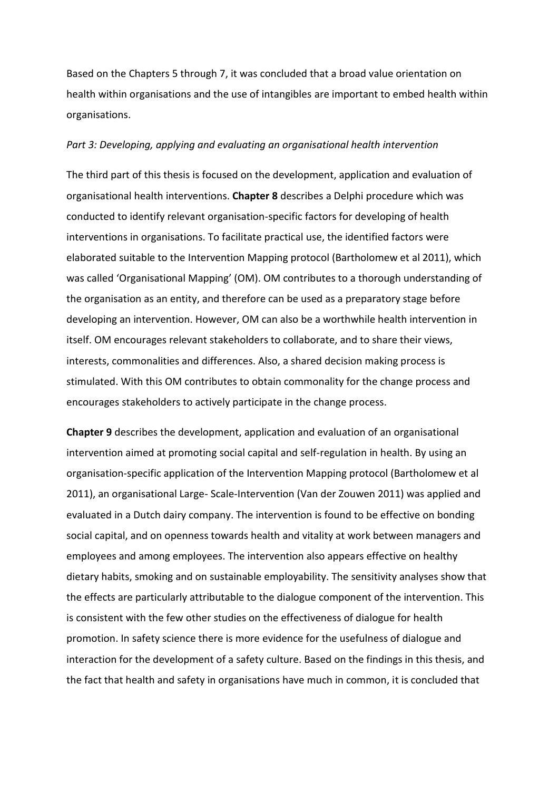Based on the Chapters 5 through 7, it was concluded that a broad value orientation on health within organisations and the use of intangibles are important to embed health within organisations.

### *Part 3: Developing, applying and evaluating an organisational health intervention*

The third part of this thesis is focused on the development, application and evaluation of organisational health interventions. **Chapter 8** describes a Delphi procedure which was conducted to identify relevant organisation-specific factors for developing of health interventions in organisations. To facilitate practical use, the identified factors were elaborated suitable to the Intervention Mapping protocol (Bartholomew et al 2011), which was called 'Organisational Mapping' (OM). OM contributes to a thorough understanding of the organisation as an entity, and therefore can be used as a preparatory stage before developing an intervention. However, OM can also be a worthwhile health intervention in itself. OM encourages relevant stakeholders to collaborate, and to share their views, interests, commonalities and differences. Also, a shared decision making process is stimulated. With this OM contributes to obtain commonality for the change process and encourages stakeholders to actively participate in the change process.

**Chapter 9** describes the development, application and evaluation of an organisational intervention aimed at promoting social capital and self-regulation in health. By using an organisation-specific application of the Intervention Mapping protocol (Bartholomew et al 2011), an organisational Large- Scale-Intervention (Van der Zouwen 2011) was applied and evaluated in a Dutch dairy company. The intervention is found to be effective on bonding social capital, and on openness towards health and vitality at work between managers and employees and among employees. The intervention also appears effective on healthy dietary habits, smoking and on sustainable employability. The sensitivity analyses show that the effects are particularly attributable to the dialogue component of the intervention. This is consistent with the few other studies on the effectiveness of dialogue for health promotion. In safety science there is more evidence for the usefulness of dialogue and interaction for the development of a safety culture. Based on the findings in this thesis, and the fact that health and safety in organisations have much in common, it is concluded that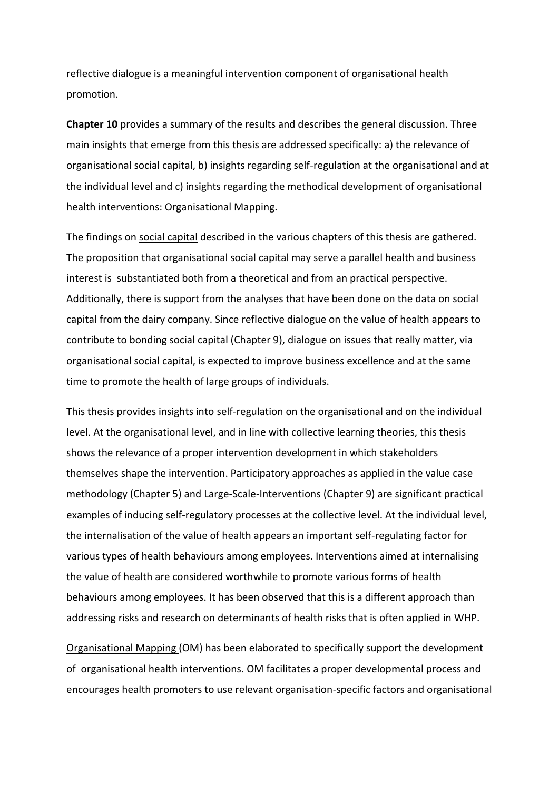reflective dialogue is a meaningful intervention component of organisational health promotion.

**Chapter 10** provides a summary of the results and describes the general discussion. Three main insights that emerge from this thesis are addressed specifically: a) the relevance of organisational social capital, b) insights regarding self-regulation at the organisational and at the individual level and c) insights regarding the methodical development of organisational health interventions: Organisational Mapping.

The findings on social capital described in the various chapters of this thesis are gathered. The proposition that organisational social capital may serve a parallel health and business interest is substantiated both from a theoretical and from an practical perspective. Additionally, there is support from the analyses that have been done on the data on social capital from the dairy company. Since reflective dialogue on the value of health appears to contribute to bonding social capital (Chapter 9), dialogue on issues that really matter, via organisational social capital, is expected to improve business excellence and at the same time to promote the health of large groups of individuals.

This thesis provides insights into self-regulation on the organisational and on the individual level. At the organisational level, and in line with collective learning theories, this thesis shows the relevance of a proper intervention development in which stakeholders themselves shape the intervention. Participatory approaches as applied in the value case methodology (Chapter 5) and Large-Scale-Interventions (Chapter 9) are significant practical examples of inducing self-regulatory processes at the collective level. At the individual level, the internalisation of the value of health appears an important self-regulating factor for various types of health behaviours among employees. Interventions aimed at internalising the value of health are considered worthwhile to promote various forms of health behaviours among employees. It has been observed that this is a different approach than addressing risks and research on determinants of health risks that is often applied in WHP.

Organisational Mapping (OM) has been elaborated to specifically support the development of organisational health interventions. OM facilitates a proper developmental process and encourages health promoters to use relevant organisation-specific factors and organisational